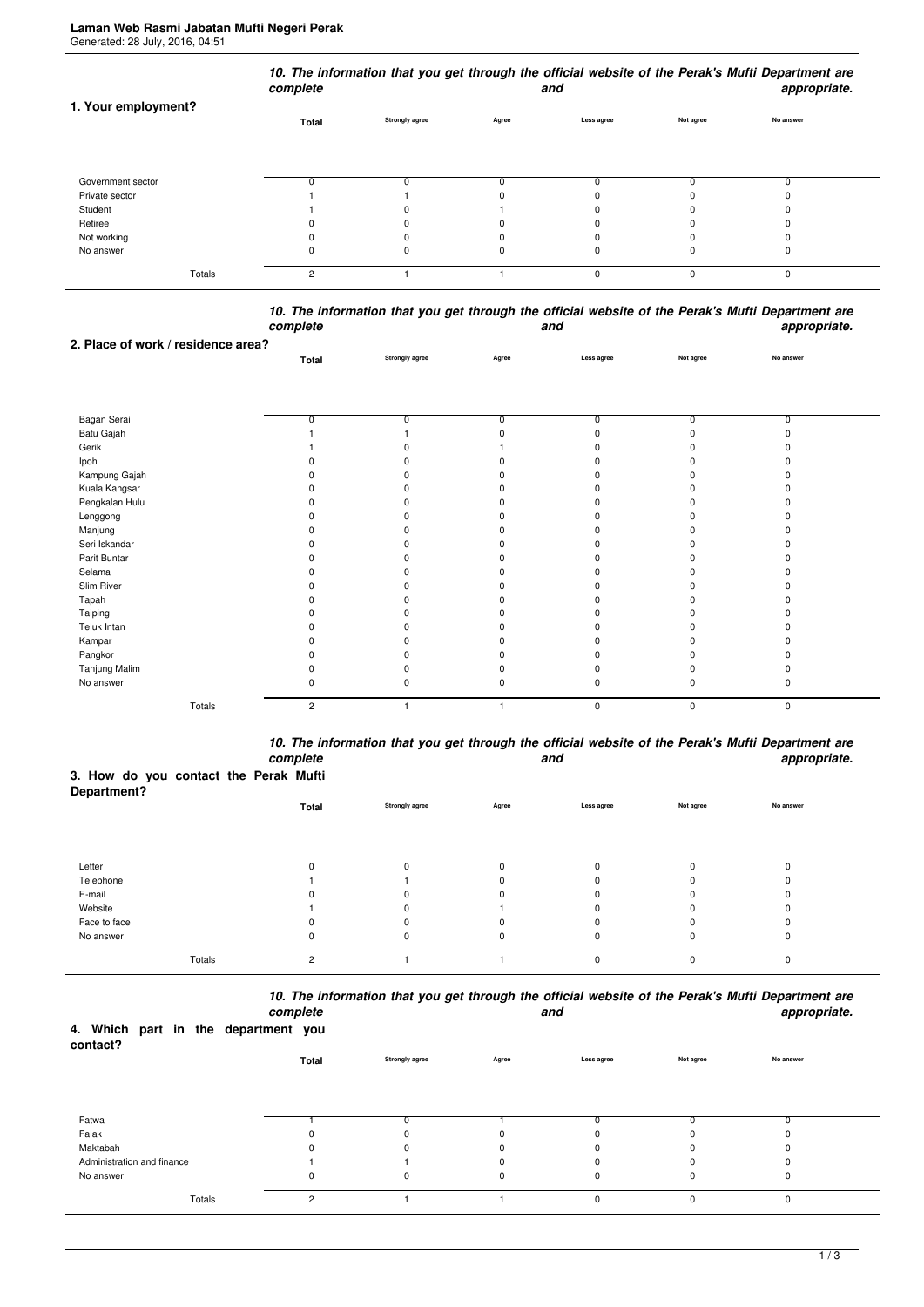|                     | complete       |                       |       | and        |           | 10. The information that you get through the official website of the Perak's Mufti Department are<br>appropriate. |
|---------------------|----------------|-----------------------|-------|------------|-----------|-------------------------------------------------------------------------------------------------------------------|
| 1. Your employment? | Total          | <b>Strongly agree</b> | Agree | Less agree | Not agree | No answer                                                                                                         |
| Government sector   |                |                       |       |            |           |                                                                                                                   |
| Private sector      |                |                       |       |            |           |                                                                                                                   |
| Student             |                |                       |       |            |           |                                                                                                                   |
| Retiree             |                |                       |       |            |           |                                                                                                                   |
| Not working         |                |                       |       |            |           |                                                                                                                   |
| No answer           |                |                       |       | O          | 0         | 0                                                                                                                 |
| Totals              | $\overline{c}$ |                       |       | $\Omega$   | 0         | 0                                                                                                                 |

|          | 10. The information that you get through the official website of the Perak's Mufti Department are |              |
|----------|---------------------------------------------------------------------------------------------------|--------------|
| complete | and                                                                                               | appropriate. |
|          |                                                                                                   |              |

|                                    | -----p----     |                |       |             |           | $r_{\rm F}$ , $r_{\rm F}$ , and $r_{\rm F}$ |  |
|------------------------------------|----------------|----------------|-------|-------------|-----------|---------------------------------------------|--|
| 2. Place of work / residence area? |                |                |       |             |           |                                             |  |
|                                    | Total          | Strongly agree | Agree | Less agree  | Not agree | No answer                                   |  |
|                                    |                |                |       |             |           |                                             |  |
|                                    |                |                |       |             |           |                                             |  |
|                                    |                |                |       |             |           |                                             |  |
| Bagan Serai                        | 0              | 0              | 0     | $\Omega$    | 0         | 0                                           |  |
| Batu Gajah                         |                |                |       |             | U         |                                             |  |
| Gerik                              |                | O              |       |             |           |                                             |  |
| Ipoh                               |                | ŋ              |       |             |           |                                             |  |
| Kampung Gajah                      |                | n              |       |             |           |                                             |  |
| Kuala Kangsar                      |                | ŋ              |       |             |           |                                             |  |
| Pengkalan Hulu                     |                | ŋ              |       |             |           |                                             |  |
| Lenggong                           |                | ŋ              |       |             |           |                                             |  |
| Manjung                            |                | ŋ              |       |             |           |                                             |  |
| Seri Iskandar                      |                | ŋ              |       |             |           |                                             |  |
| Parit Buntar                       |                | n              |       |             |           |                                             |  |
| Selama                             |                | n              |       |             |           |                                             |  |
| Slim River                         |                |                |       |             |           |                                             |  |
| Tapah                              |                |                |       |             |           |                                             |  |
| Taiping                            |                | O.             |       |             |           |                                             |  |
| Teluk Intan                        |                |                |       |             |           |                                             |  |
| Kampar                             |                | 0              |       |             |           |                                             |  |
| Pangkor                            |                | ŋ              |       |             |           |                                             |  |
| Tanjung Malim                      |                | ŋ              |       |             |           |                                             |  |
| No answer                          |                | 0              | ŋ     |             | $\Omega$  |                                             |  |
| Totals                             | $\overline{c}$ |                |       | $\mathbf 0$ | 0         | $\pmb{0}$                                   |  |

*10. The information that you get through the official website of the Perak's Mufti Department are complete and appropriate.*

## **3. How do you contact the Perak Mufti**

| Department?  |                |                       |             |            |           |           |  |
|--------------|----------------|-----------------------|-------------|------------|-----------|-----------|--|
|              | Total          | <b>Strongly agree</b> | Agree       | Less agree | Not agree | No answer |  |
|              |                |                       |             |            |           |           |  |
|              |                |                       |             |            |           |           |  |
|              |                |                       |             |            |           |           |  |
| Letter       |                |                       |             | n          |           |           |  |
| Telephone    |                |                       | 0           | 0          |           |           |  |
| E-mail       |                | 0                     | 0           | 0          |           |           |  |
| Website      |                | 0                     |             | 0          |           |           |  |
| Face to face |                |                       | 0           | 0          |           |           |  |
| No answer    | 0              | 0                     | $\mathbf 0$ | 0          | 0         | υ         |  |
|              |                |                       |             |            |           |           |  |
| Totals       | $\overline{2}$ |                       |             | 0          | $\Omega$  | $\Omega$  |  |

*10. The information that you get through the official website of the Perak's Mufti Department are*

| 4. Which part in the department you<br>contact? |        | complete |          |                |             | and         |           | appropriate. |
|-------------------------------------------------|--------|----------|----------|----------------|-------------|-------------|-----------|--------------|
|                                                 |        |          | Total    | Strongly agree | Agree       | Less agree  | Not agree | No answer    |
|                                                 |        |          |          |                |             |             |           |              |
| Fatwa                                           |        |          |          |                |             |             |           |              |
| Falak                                           |        |          |          | 0              | 0           |             |           |              |
| Maktabah                                        |        |          | O        | U              | $\Omega$    |             |           | $\Omega$     |
| Administration and finance                      |        |          |          |                |             |             |           | 0            |
| No answer                                       |        |          | $\Omega$ | $\Omega$       | $\mathbf 0$ | $\mathbf 0$ | O         | 0            |
|                                                 | Totals |          | 2        |                |             | $\Omega$    | O         | $\mathbf 0$  |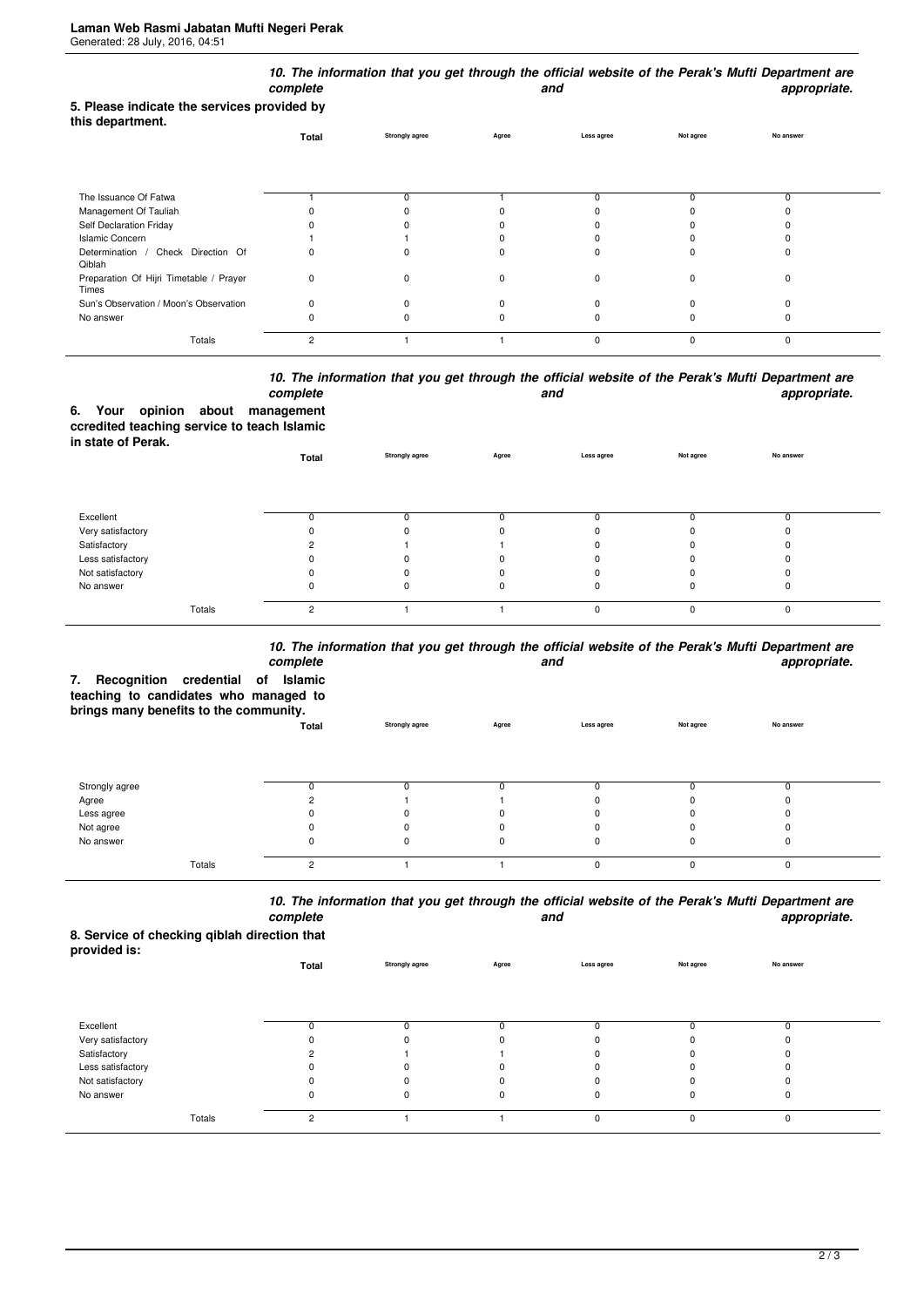| 5. Please indicate the services provided by      | complete       |                       |       | and         |             | 10. The information that you get through the official website of the Perak's Mufti Department are<br>appropriate. |  |
|--------------------------------------------------|----------------|-----------------------|-------|-------------|-------------|-------------------------------------------------------------------------------------------------------------------|--|
| this department.                                 |                |                       |       |             |             |                                                                                                                   |  |
|                                                  | Total          | <b>Strongly agree</b> | Agree | Less agree  | Not agree   | No answer                                                                                                         |  |
|                                                  |                |                       |       |             |             |                                                                                                                   |  |
| The Issuance Of Fatwa                            |                | 0                     |       |             |             | 0                                                                                                                 |  |
| Management Of Tauliah                            |                |                       |       |             |             |                                                                                                                   |  |
| Self Declaration Friday                          |                |                       |       |             |             |                                                                                                                   |  |
| <b>Islamic Concern</b>                           |                |                       |       |             |             |                                                                                                                   |  |
| Determination / Check Direction Of<br>Qiblah     | 0              | 0                     | 0     |             | 0           | 0                                                                                                                 |  |
| Preparation Of Hijri Timetable / Prayer<br>Times | 0              | 0                     | 0     | $\Omega$    | $\mathbf 0$ | $\Omega$                                                                                                          |  |
| Sun's Observation / Moon's Observation           | 0              | 0                     | 0     |             | $\Omega$    | ŋ                                                                                                                 |  |
| No answer                                        | 0              | 0                     | O     |             | 0           | 0                                                                                                                 |  |
| Totals                                           | $\overline{c}$ |                       |       | $\mathbf 0$ | $\mathbf 0$ | 0                                                                                                                 |  |

## *10. The information that you get through the official website of the Perak's Mufti Department are* **and** and **appropriate.**

|                   |  | complete                                    |
|-------------------|--|---------------------------------------------|
|                   |  | 6. Your opinion about management            |
|                   |  | ccredited teaching service to teach Islamic |
| in state of Perak |  |                                             |

|                   | Total  | <b>Strongly agree</b> | Agree | Less agree | Not agree | No answer |  |
|-------------------|--------|-----------------------|-------|------------|-----------|-----------|--|
|                   |        |                       |       |            |           |           |  |
| Excellent         |        |                       |       |            |           | 0         |  |
| Very satisfactory |        |                       |       |            | ŋ         | 0         |  |
| Satisfactory      |        |                       |       |            |           | 0         |  |
| Less satisfactory |        |                       |       |            |           | 0         |  |
| Not satisfactory  |        |                       |       |            |           | 0         |  |
| No answer         |        |                       | 0     |            | 0         | 0         |  |
| Totals            | $\sim$ |                       |       | $\Omega$   | $\Omega$  | 0         |  |

## *10. The information that you get through the official website of the Perak's Mufti Department are*

| Recognition credential of<br>7.<br>teaching to candidates who managed to<br>brings many benefits to the community. | complete<br>Islamic |                       |       | and        |           | iv. The implification and you get anough the onicial website of the Feran's matti beparament are<br>appropriate. |
|--------------------------------------------------------------------------------------------------------------------|---------------------|-----------------------|-------|------------|-----------|------------------------------------------------------------------------------------------------------------------|
|                                                                                                                    | Total               | <b>Strongly agree</b> | Agree | Less agree | Not agree | No answer                                                                                                        |
| Strongly agree                                                                                                     |                     |                       |       | n          |           |                                                                                                                  |
| Agree                                                                                                              |                     |                       |       |            |           |                                                                                                                  |
| Less agree                                                                                                         |                     |                       |       |            |           |                                                                                                                  |
| Not agree                                                                                                          |                     |                       |       | n          |           |                                                                                                                  |
| No answer                                                                                                          |                     |                       |       | 0          |           |                                                                                                                  |
| Totals                                                                                                             | $\overline{2}$      |                       |       | 0          | O         | $\Omega$                                                                                                         |

*10. The information that you get through the official website of the Perak's Mufti Department are complete and appropriate.*

**8. Service of checking qiblah direction that provided is:**

| provided is.      | Total          | Strongly agree | Agree | Less agree  | Not agree | No answer |  |
|-------------------|----------------|----------------|-------|-------------|-----------|-----------|--|
|                   |                |                |       |             |           |           |  |
| Excellent         | 0              |                |       |             |           |           |  |
| Very satisfactory |                |                |       | $\Omega$    |           |           |  |
| Satisfactory      |                |                |       | $\Omega$    |           |           |  |
| Less satisfactory |                |                |       |             |           |           |  |
| Not satisfactory  |                |                |       |             |           |           |  |
| No answer         | 0              | 0              |       | $\mathbf 0$ | 0         | υ         |  |
| Totals            | $\overline{2}$ |                |       | $\mathbf 0$ | $\Omega$  | $\Omega$  |  |